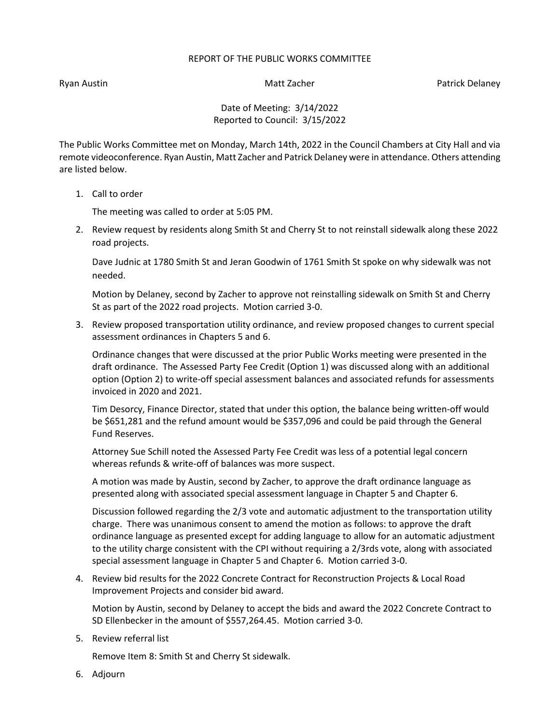## REPORT OF THE PUBLIC WORKS COMMITTEE

Ryan Austin Nation Matt Zacher Patrick Delaney National Australian Matt Zacher Patrick Delaney

Date of Meeting: 3/14/2022 Reported to Council: 3/15/2022

The Public Works Committee met on Monday, March 14th, 2022 in the Council Chambers at City Hall and via remote videoconference. Ryan Austin, Matt Zacher and Patrick Delaney were in attendance. Others attending are listed below.

1. Call to order

The meeting was called to order at 5:05 PM.

2. Review request by residents along Smith St and Cherry St to not reinstall sidewalk along these 2022 road projects.

Dave Judnic at 1780 Smith St and Jeran Goodwin of 1761 Smith St spoke on why sidewalk was not needed.

Motion by Delaney, second by Zacher to approve not reinstalling sidewalk on Smith St and Cherry St as part of the 2022 road projects. Motion carried 3-0.

3. Review proposed transportation utility ordinance, and review proposed changes to current special assessment ordinances in Chapters 5 and 6.

Ordinance changes that were discussed at the prior Public Works meeting were presented in the draft ordinance. The Assessed Party Fee Credit (Option 1) was discussed along with an additional option (Option 2) to write-off special assessment balances and associated refunds for assessments invoiced in 2020 and 2021.

Tim Desorcy, Finance Director, stated that under this option, the balance being written-off would be \$651,281 and the refund amount would be \$357,096 and could be paid through the General Fund Reserves.

Attorney Sue Schill noted the Assessed Party Fee Credit was less of a potential legal concern whereas refunds & write-off of balances was more suspect.

A motion was made by Austin, second by Zacher, to approve the draft ordinance language as presented along with associated special assessment language in Chapter 5 and Chapter 6.

Discussion followed regarding the 2/3 vote and automatic adjustment to the transportation utility charge. There was unanimous consent to amend the motion as follows: to approve the draft ordinance language as presented except for adding language to allow for an automatic adjustment to the utility charge consistent with the CPI without requiring a 2/3rds vote, along with associated special assessment language in Chapter 5 and Chapter 6. Motion carried 3-0.

4. Review bid results for the 2022 Concrete Contract for Reconstruction Projects & Local Road Improvement Projects and consider bid award.

Motion by Austin, second by Delaney to accept the bids and award the 2022 Concrete Contract to SD Ellenbecker in the amount of \$557,264.45. Motion carried 3-0.

5. Review referral list

Remove Item 8: Smith St and Cherry St sidewalk.

6. Adjourn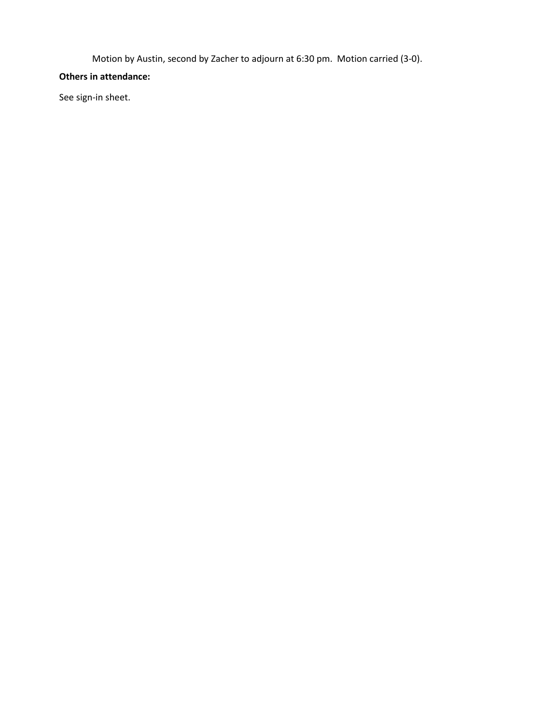Motion by Austin, second by Zacher to adjourn at 6:30 pm. Motion carried (3-0).

## **Others in attendance:**

See sign-in sheet.